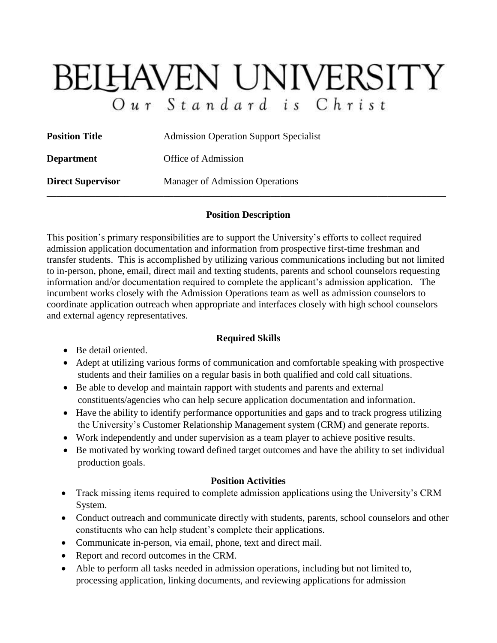# **BELHAVEN UNIVERSITY** Our Standard is Christ

| <b>Position Title</b>    | <b>Admission Operation Support Specialist</b> |
|--------------------------|-----------------------------------------------|
| <b>Department</b>        | Office of Admission                           |
| <b>Direct Supervisor</b> | <b>Manager of Admission Operations</b>        |

#### **Position Description**

This position's primary responsibilities are to support the University's efforts to collect required admission application documentation and information from prospective first-time freshman and transfer students. This is accomplished by utilizing various communications including but not limited to in-person, phone, email, direct mail and texting students, parents and school counselors requesting information and/or documentation required to complete the applicant's admission application. The incumbent works closely with the Admission Operations team as well as admission counselors to coordinate application outreach when appropriate and interfaces closely with high school counselors and external agency representatives.

## **Required Skills**

- Be detail oriented.
- Adept at utilizing various forms of communication and comfortable speaking with prospective students and their families on a regular basis in both qualified and cold call situations.
- Be able to develop and maintain rapport with students and parents and external constituents/agencies who can help secure application documentation and information.
- Have the ability to identify performance opportunities and gaps and to track progress utilizing the University's Customer Relationship Management system (CRM) and generate reports.
- Work independently and under supervision as a team player to achieve positive results.
- Be motivated by working toward defined target outcomes and have the ability to set individual production goals.

## **Position Activities**

- Track missing items required to complete admission applications using the University's CRM System.
- Conduct outreach and communicate directly with students, parents, school counselors and other constituents who can help student's complete their applications.
- Communicate in-person, via email, phone, text and direct mail.
- Report and record outcomes in the CRM.
- Able to perform all tasks needed in admission operations, including but not limited to, processing application, linking documents, and reviewing applications for admission